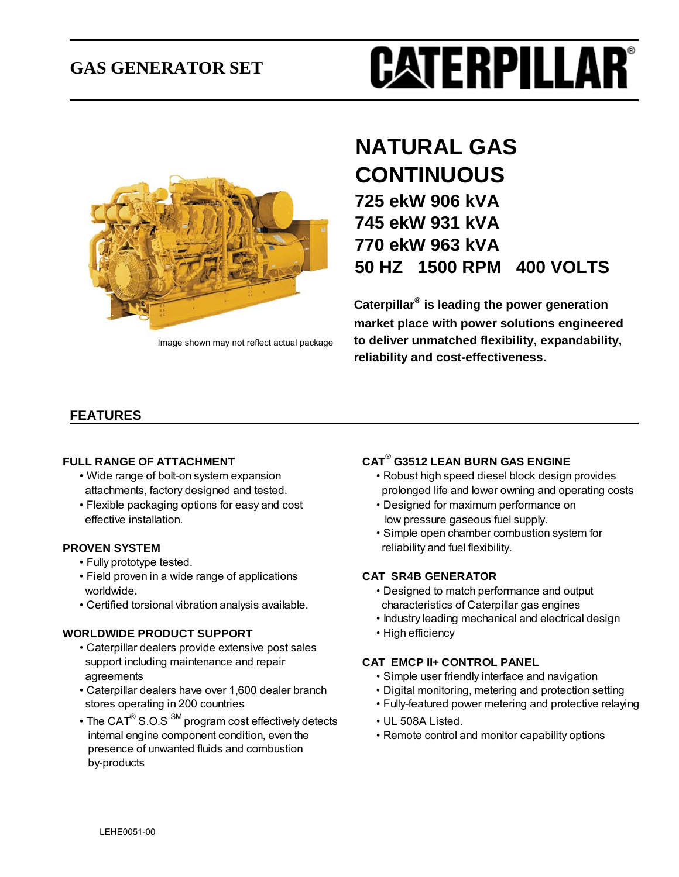## **GAS GENERATOR SET**





Image shown may not reflect actual package

## **NATURAL GAS CONTINUOUS 725 ekW 906 kVA 745 ekW 931 kVA 770 ekW 963 kVA 50 HZ 1500 RPM 400 VOLTS**

**Caterpillar® is leading the power generation market place with power solutions engineered to deliver unmatched flexibility, expandability, reliability and cost-effectiveness.**

### **FEATURES**

#### **FULL RANGE OF ATTACHMENT**

- 
- Flexible packaging options for easy and cost Designed for maximum performance on effective installation. low pressure gaseous fuel supply.

- Fully prototype tested.
- Field proven in a wide range of applications **CAT SR4B GENERATOR**
- Certified torsional vibration analysis available. characteristics of Caterpillar gas engines

#### **WORLDWIDE PRODUCT SUPPORT** • High efficiency

- Caterpillar dealers provide extensive post sales support including maintenance and repair **CAT EMCP II+ CONTROL PANEL** agreements • Simple user friendly interface and navigation
- Caterpillar dealers have over 1,600 dealer branch Digital monitoring, metering and protection setting
- The CAT $^{\circ}$  S.O.S  $^{\text{SM}}$  program cost effectively detects  $\hspace{1cm}$  UL 508A Listed. internal engine component condition, even the • Remote control and monitor capability options presence of unwanted fluids and combustion by-products

#### **G3512 LEAN BURN GAS ENGINE**

- Wide range of bolt-on system expansion Robust high speed diesel block design provides attachments, factory designed and tested. prolonged life and lower owning and operating costs
	-
- Simple open chamber combustion system for **PROVEN SYSTEM reliability and fuel flexibility.**

- worldwide. Designed to match performance and output
	- Industry leading mechanical and electrical design
	-

- 
- 
- stores operating in 200 countries Fully-featured power metering and protective relaying
	-
	-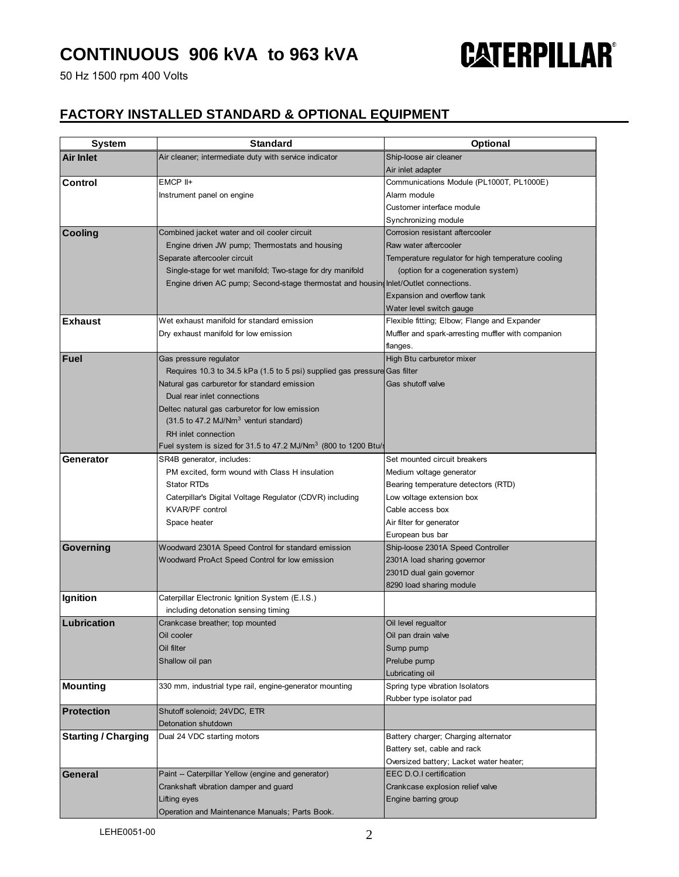50 Hz 1500 rpm 400 Volts

# **CATERPILLAR®**

### **FACTORY INSTALLED STANDARD & OPTIONAL EQUIPMENT**

| <b>System</b>              | <b>Standard</b>                                                                      | <b>Optional</b>                                          |
|----------------------------|--------------------------------------------------------------------------------------|----------------------------------------------------------|
| Air Inlet                  | Air cleaner; intermediate duty with service indicator                                | Ship-loose air cleaner                                   |
|                            |                                                                                      | Air inlet adapter                                        |
| Control                    | EMCP II+                                                                             | Communications Module (PL1000T, PL1000E)                 |
|                            | Instrument panel on engine                                                           | Alarm module                                             |
|                            |                                                                                      | Customer interface module                                |
|                            |                                                                                      | Synchronizing module                                     |
| <b>Cooling</b>             | Combined jacket water and oil cooler circuit                                         | Corrosion resistant aftercooler                          |
|                            | Engine driven JW pump; Thermostats and housing                                       | Raw water aftercooler                                    |
|                            | Separate aftercooler circuit                                                         | Temperature regulator for high temperature cooling       |
|                            | Single-stage for wet manifold; Two-stage for dry manifold                            | (option for a cogeneration system)                       |
|                            | Engine driven AC pump; Second-stage thermostat and housing Inlet/Outlet connections. |                                                          |
|                            |                                                                                      | Expansion and overflow tank                              |
|                            |                                                                                      | Water level switch gauge                                 |
| <b>Exhaust</b>             | Wet exhaust manifold for standard emission                                           | Flexible fitting; Elbow; Flange and Expander             |
|                            | Dry exhaust manifold for low emission                                                | Muffler and spark-arresting muffler with companion       |
|                            |                                                                                      | flanges.                                                 |
| Fuel                       | Gas pressure regulator                                                               | High Btu carburetor mixer                                |
|                            | Requires 10.3 to 34.5 kPa (1.5 to 5 psi) supplied gas pressure Gas filter            |                                                          |
|                            | Natural gas carburetor for standard emission                                         | Gas shutoff valve                                        |
|                            | Dual rear inlet connections                                                          |                                                          |
|                            | Deltec natural gas carburetor for low emission                                       |                                                          |
|                            | (31.5 to 47.2 MJ/Nm <sup>3</sup> venturi standard)                                   |                                                          |
|                            | RH inlet connection                                                                  |                                                          |
|                            | Fuel system is sized for 31.5 to 47.2 MJ/Nm <sup>3</sup> (800 to 1200 Btu/s          |                                                          |
| Generator                  | SR4B generator, includes:                                                            | Set mounted circuit breakers                             |
|                            | PM excited, form wound with Class H insulation                                       | Medium voltage generator                                 |
|                            | <b>Stator RTDs</b>                                                                   | Bearing temperature detectors (RTD)                      |
|                            | Caterpillar's Digital Voltage Regulator (CDVR) including                             | Low voltage extension box                                |
|                            | <b>KVAR/PF control</b>                                                               | Cable access box                                         |
|                            | Space heater                                                                         | Air filter for generator                                 |
|                            |                                                                                      | European bus bar                                         |
| Governing                  | Woodward 2301A Speed Control for standard emission                                   | Ship-loose 2301A Speed Controller                        |
|                            | Woodward ProAct Speed Control for low emission                                       | 2301A load sharing governor                              |
|                            |                                                                                      | 2301D dual gain governor                                 |
|                            |                                                                                      | 8290 load sharing module                                 |
| Ignition                   | Caterpillar Electronic Ignition System (E.I.S.)                                      |                                                          |
|                            | including detonation sensing timing                                                  |                                                          |
| Lubrication                | Crankcase breather; top mounted                                                      | Oil level requaltor                                      |
|                            | Oil cooler                                                                           | Oil pan drain valve                                      |
|                            | Oil filter                                                                           | Sump pump<br>Prelube pump                                |
|                            | Shallow oil pan                                                                      |                                                          |
| <b>Mounting</b>            | 330 mm, industrial type rail, engine-generator mounting                              | Lubricating oil<br>Spring type vibration Isolators       |
|                            |                                                                                      | Rubber type isolator pad                                 |
| <b>Protection</b>          | Shutoff solenoid; 24VDC, ETR                                                         |                                                          |
|                            | Detonation shutdown                                                                  |                                                          |
| <b>Starting / Charging</b> | Dual 24 VDC starting motors                                                          | Battery charger; Charging alternator                     |
|                            |                                                                                      | Battery set, cable and rack                              |
|                            |                                                                                      | Oversized battery; Lacket water heater;                  |
| <b>General</b>             | Paint -- Caterpillar Yellow (engine and generator)                                   | EEC D.O.I certification                                  |
|                            |                                                                                      |                                                          |
|                            |                                                                                      |                                                          |
|                            | Crankshaft vibration damper and guard<br>Lifting eyes                                | Crankcase explosion relief valve<br>Engine barring group |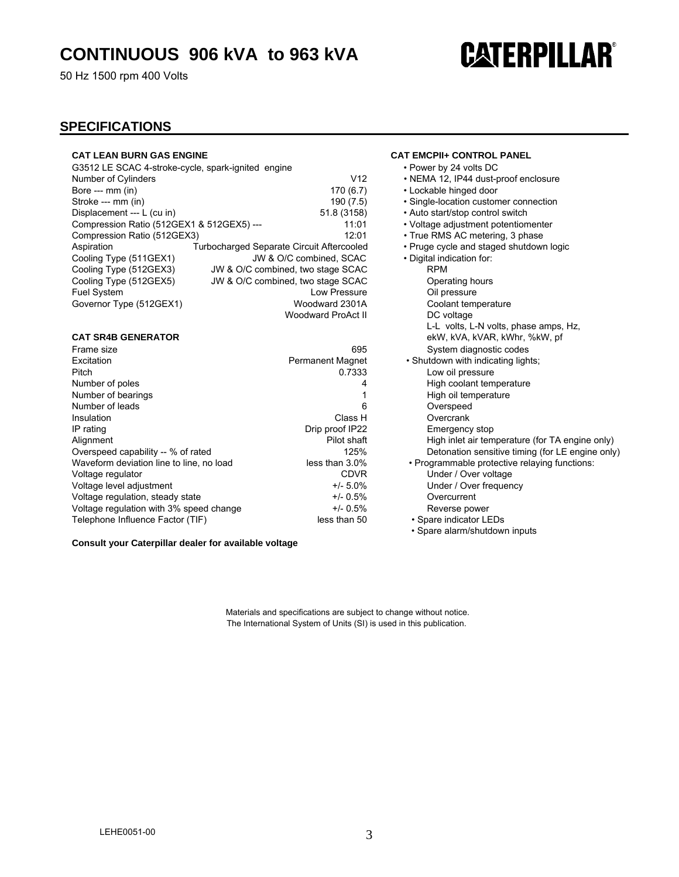50 Hz 1500 rpm 400 Volts

## **CATERPILLAR®**

#### **SPECIFICATIONS**

| <b>CAT LEAN BURN GAS ENGINE</b>                    |                                                  | <b>CAT EMCPII+ CONTROL PA</b>                |
|----------------------------------------------------|--------------------------------------------------|----------------------------------------------|
| G3512 LE SCAC 4-stroke-cycle, spark-ignited engine |                                                  | • Power by 24 volts DC                       |
| Number of Cylinders                                |                                                  | • NEMA 12, IP44 dust-prod<br>V <sub>12</sub> |
| Bore --- $mm$ (in)                                 | 170(6.7)                                         | • Lockable hinged door                       |
| Stroke --- mm (in)                                 | 190 (7.5)                                        | · Single-location customer                   |
| Displacement --- L (cu in)                         | 51.8 (3158)                                      | • Auto start/stop control sw                 |
| Compression Ratio (512GEX1 & 512GEX5) ---          |                                                  | • Voltage adjustment poter<br>11:01          |
| Compression Ratio (512GEX3)                        |                                                  | • True RMS AC metering.<br>12:01             |
| Aspiration                                         | <b>Turbocharged Separate Circuit Aftercooled</b> | • Pruge cycle and staged s                   |
| Cooling Type (511GEX1)                             | JW & O/C combined. SCAC                          | . Digital indication for:                    |
| Cooling Type (512GEX3)                             | JW & O/C combined, two stage SCAC                | <b>RPM</b>                                   |
| Cooling Type (512GEX5)                             | JW & O/C combined, two stage SCAC                | Operating hours                              |
| <b>Fuel System</b>                                 | Low Pressure                                     | Oil pressure                                 |
| Governor Type (512GEX1)                            | Woodward 2301A                                   | Coolant temperature                          |
|                                                    | Woodward ProAct II                               | DC voltage                                   |

#### **CAT SR4B GENERATOR**

| 695                     | System diagnostic codes                          |
|-------------------------|--------------------------------------------------|
| <b>Permanent Magnet</b> | . Shutdown with indicating lights:               |
| 0.7333                  | Low oil pressure                                 |
| 4                       | High coolant temperature                         |
|                         | High oil temperature                             |
| 6                       | Overspeed                                        |
| Class H                 | Overcrank                                        |
| Drip proof IP22         | Emergency stop                                   |
| Pilot shaft             | High inlet air temperature (for TA engine only)  |
| 125%                    | Detonation sensitive timing (for LE engine only) |
| less than $3.0\%$       | • Programmable protective relaying functions:    |
| <b>CDVR</b>             | Under / Over voltage                             |
| $+/- 5.0\%$             | Under / Over frequency                           |
| $+/- 0.5%$              | Overcurrent                                      |
| $+/- 0.5\%$             | Reverse power                                    |
| less than 50            | • Spare indicator LEDs                           |
|                         |                                                  |

**Consult your Caterpillar dealer for available voltage**

#### **CAT EMCPII+ CONTROL PANEL**

- Power by 24 volts DC
- 2 NEMA 12, IP44 dust-proof enclosure
- 7) Lockable hinged door
- 5) Single-location customer connection
- Bishlacement ---- Auto start/stop control switch
- 1 Voltage adjustment potentiomenter
- 11 True RMS AC metering, 3 phase
- d Pruge cycle and staged shutdown logic

| • Digital indication for:                        |
|--------------------------------------------------|
| RPM                                              |
| Operating hours                                  |
| Oil pressure                                     |
| Coolant temperature                              |
| DC voltage                                       |
| L-L volts, L-N volts, phase amps, Hz,            |
| ekW, kVA, kVAR, kWhr, %kW, pf                    |
| System diagnostic codes                          |
| • Shutdown with indicating lights;               |
| Low oil pressure                                 |
| High coolant temperature                         |
| High oil temperature                             |
| Overspeed                                        |
| Overcrank                                        |
| Emergency stop                                   |
| High inlet air temperature (for TA engine only)  |
| Detonation sensitive timing (for LE engine only) |
| • Programmable protective relaying functions:    |
| Under / Over voltage                             |
| Under / Over frequency                           |
| Overcurrent                                      |
| Reverse power                                    |
| • Spare indicator LEDs                           |
| • Spare alarm/shutdown inputs                    |

Materials and specifications are subject to change without notice. The International System of Units (SI) is used in this publication.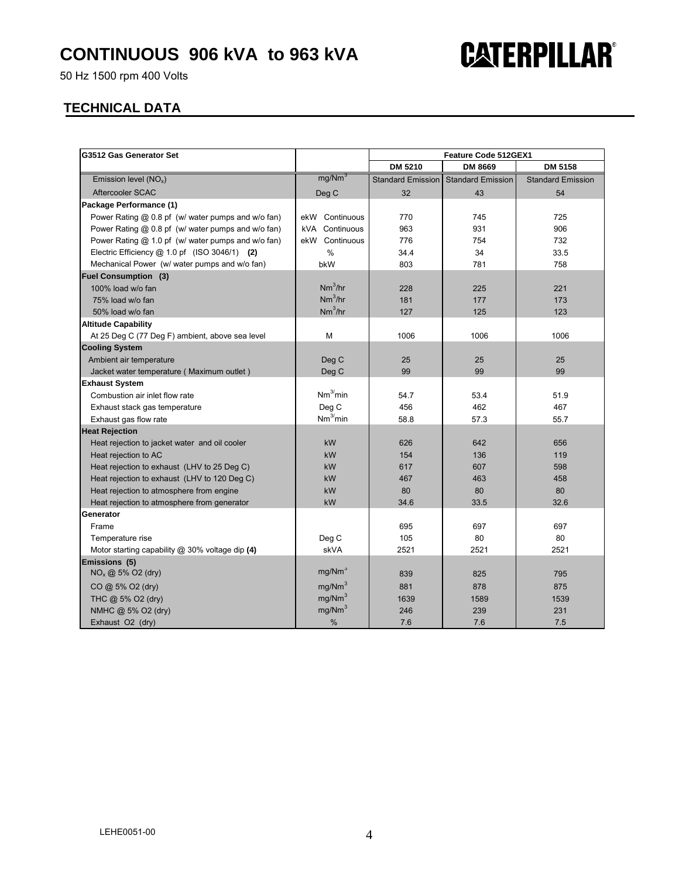50 Hz 1500 rpm 400 Volts

#### **TECHNICAL DATA**

| G3512 Gas Generator Set                            |                      | Feature Code 512GEX1 |                          |                          |
|----------------------------------------------------|----------------------|----------------------|--------------------------|--------------------------|
|                                                    |                      | <b>DM 5210</b>       | <b>DM 8669</b>           | <b>DM 5158</b>           |
| Emission level $(NO_x)$                            | mg/Nm <sup>3</sup>   | Standard Emission    | <b>Standard Emission</b> | <b>Standard Emission</b> |
| Aftercooler SCAC                                   | Deg C                | 32                   | 43                       | 54                       |
| Package Performance (1)                            |                      |                      |                          |                          |
| Power Rating @ 0.8 pf (w/ water pumps and w/o fan) | ekW<br>Continuous    | 770                  | 745                      | 725                      |
| Power Rating @ 0.8 pf (w/ water pumps and w/o fan) | kVA<br>Continuous    | 963                  | 931                      | 906                      |
| Power Rating @ 1.0 pf (w/ water pumps and w/o fan) | ekW Continuous       | 776                  | 754                      | 732                      |
| Electric Efficiency @ 1.0 pf (ISO 3046/1) (2)      | %                    | 34.4                 | 34                       | 33.5                     |
| Mechanical Power (w/ water pumps and w/o fan)      | bkW                  | 803                  | 781                      | 758                      |
| <b>Fuel Consumption (3)</b>                        |                      |                      |                          |                          |
| 100% load w/o fan                                  | Nm <sup>3</sup> /hr  | 228                  | 225                      | 221                      |
| 75% load w/o fan                                   | $Nm^3/hr$            | 181                  | 177                      | 173                      |
| 50% load w/o fan                                   | Nm <sup>3</sup> /hr  | 127                  | 125                      | 123                      |
| <b>Altitude Capability</b>                         |                      |                      |                          |                          |
| At 25 Deg C (77 Deg F) ambient, above sea level    | м                    | 1006                 | 1006                     | 1006                     |
| <b>Cooling System</b>                              |                      |                      |                          |                          |
| Ambient air temperature                            | Deg C                | 25                   | 25                       | 25                       |
| Jacket water temperature (Maximum outlet)          | Deg C                | 99                   | 99                       | 99                       |
| <b>Exhaust System</b>                              |                      |                      |                          |                          |
| Combustion air inlet flow rate                     | Nm <sup>3</sup> /min | 54.7                 | 53.4                     | 51.9                     |
| Exhaust stack gas temperature                      | Deg C                | 456                  | 462                      | 467                      |
| Exhaust gas flow rate                              | Nm <sup>3</sup> min  | 58.8                 | 57.3                     | 55.7                     |
| <b>Heat Rejection</b>                              |                      |                      |                          |                          |
| Heat rejection to jacket water and oil cooler      | kW                   | 626                  | 642                      | 656                      |
| Heat rejection to AC                               | kW                   | 154                  | 136                      | 119                      |
| Heat rejection to exhaust (LHV to 25 Deg C)        | kW                   | 617                  | 607                      | 598                      |
| Heat rejection to exhaust (LHV to 120 Deg C)       | kW                   | 467                  | 463                      | 458                      |
| Heat rejection to atmosphere from engine           | kW                   | 80                   | 80                       | 80                       |
| Heat rejection to atmosphere from generator        | <b>kW</b>            | 34.6                 | 33.5                     | 32.6                     |
| Generator                                          |                      |                      |                          |                          |
| Frame                                              |                      | 695                  | 697                      | 697                      |
| Temperature rise                                   | Deg C                | 105                  | 80                       | 80                       |
| Motor starting capability $@30\%$ voltage dip (4)  | skVA                 | 2521                 | 2521                     | 2521                     |
| Emissions (5)                                      |                      |                      |                          |                          |
| $NO_x \text{ @ } 5\%$ O2 (dry)                     | mg/Nm <sup>3</sup>   | 839                  | 825                      | 795                      |
| CO @ 5% O2 (dry)                                   | mg/Nm <sup>3</sup>   | 881                  | 878                      | 875                      |
| THC @ 5% O2 (dry)                                  | mg/Nm <sup>3</sup>   | 1639                 | 1589                     | 1539                     |
| NMHC @ 5% O2 (dry)                                 | mg/Nm <sup>3</sup>   | 246                  | 239                      | 231                      |
| Exhaust O2 (dry)                                   | $\%$                 | 7.6                  | 7.6                      | 7.5                      |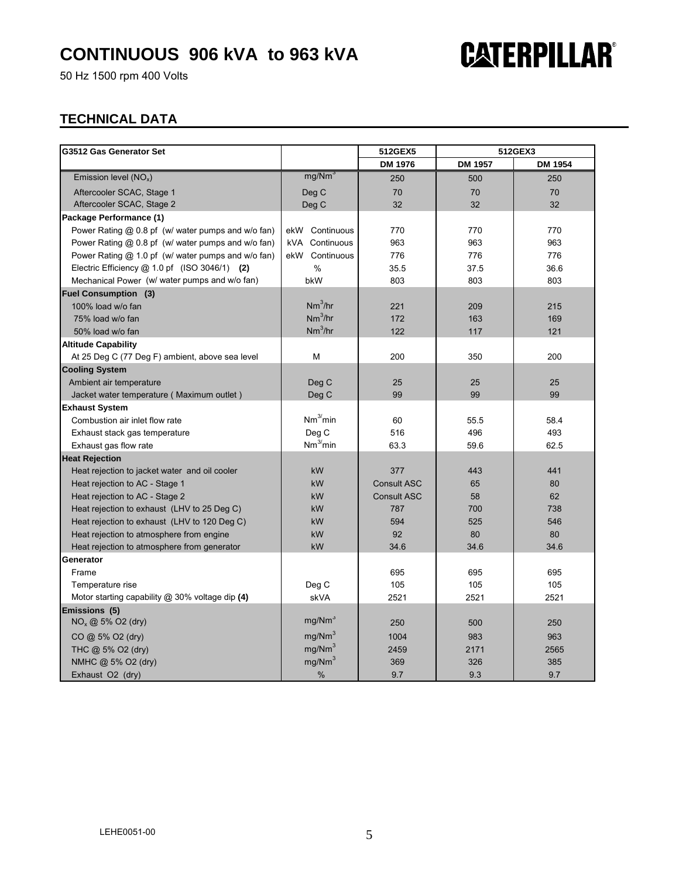50 Hz 1500 rpm 400 Volts

## **CATERPILLAR®**

### **TECHNICAL DATA**

| G3512 Gas Generator Set                            |                      | 512GEX5            | 512GEX3        |         |
|----------------------------------------------------|----------------------|--------------------|----------------|---------|
|                                                    |                      | DM 1976            | <b>DM 1957</b> | DM 1954 |
| Emission level $(NO_x)$                            | mg/Nm <sup>3</sup>   | 250                | 500            | 250     |
| Aftercooler SCAC, Stage 1                          | Deg C                | 70                 | 70             | 70      |
| Aftercooler SCAC, Stage 2                          | Deg C                | 32                 | 32             | 32      |
| Package Performance (1)                            |                      |                    |                |         |
| Power Rating @ 0.8 pf (w/ water pumps and w/o fan) | ekW Continuous       | 770                | 770            | 770     |
| Power Rating @ 0.8 pf (w/ water pumps and w/o fan) | kVA Continuous       | 963                | 963            | 963     |
| Power Rating @ 1.0 pf (w/ water pumps and w/o fan) | ekW Continuous       | 776                | 776            | 776     |
| Electric Efficiency @ 1.0 pf (ISO 3046/1) (2)      | $\%$                 | 35.5               | 37.5           | 36.6    |
| Mechanical Power (w/ water pumps and w/o fan)      | bkW                  | 803                | 803            | 803     |
| <b>Fuel Consumption (3)</b>                        |                      |                    |                |         |
| 100% load w/o fan                                  | $Nm^3/hr$            | 221                | 209            | 215     |
| 75% load w/o fan                                   | $Nm^3/hr$            | 172                | 163            | 169     |
| 50% load w/o fan                                   | $Nm^3/hr$            | 122                | 117            | 121     |
| <b>Altitude Capability</b>                         |                      |                    |                |         |
| At 25 Deg C (77 Deg F) ambient, above sea level    | M                    | 200                | 350            | 200     |
| <b>Cooling System</b>                              |                      |                    |                |         |
| Ambient air temperature                            | Deg C                | 25                 | 25             | 25      |
| Jacket water temperature (Maximum outlet)          | Deg C                | 99                 | 99             | 99      |
| <b>Exhaust System</b>                              |                      |                    |                |         |
| Combustion air inlet flow rate                     | Nm <sup>3</sup> /min | 60                 | 55.5           | 58.4    |
| Exhaust stack gas temperature                      | Deg C                | 516                | 496            | 493     |
| Exhaust gas flow rate                              | Nm <sup>3</sup> /min | 63.3               | 59.6           | 62.5    |
| <b>Heat Rejection</b>                              |                      |                    |                |         |
| Heat rejection to jacket water and oil cooler      | kW                   | 377                | 443            | 441     |
| Heat rejection to AC - Stage 1                     | kW                   | <b>Consult ASC</b> | 65             | 80      |
| Heat rejection to AC - Stage 2                     | kW                   | <b>Consult ASC</b> | 58             | 62      |
| Heat rejection to exhaust (LHV to 25 Deg C)        | kW                   | 787                | 700            | 738     |
| Heat rejection to exhaust (LHV to 120 Deg C)       | kW                   | 594                | 525            | 546     |
| Heat rejection to atmosphere from engine           | kW                   | 92                 | 80             | 80      |
| Heat rejection to atmosphere from generator        | kW                   | 34.6               | 34.6           | 34.6    |
| Generator                                          |                      |                    |                |         |
| Frame                                              |                      | 695                | 695            | 695     |
| Temperature rise                                   | Deg C                | 105                | 105            | 105     |
| Motor starting capability $@30\%$ voltage dip (4)  | skVA                 | 2521               | 2521           | 2521    |
| Emissions (5)                                      |                      |                    |                |         |
| $NO_x \textcircled{a} 5\%$ O2 (dry)                | mg/Nm <sup>3</sup>   | 250                | 500            | 250     |
| $CO$ @ 5% O2 (dry)                                 | mg/Nm <sup>3</sup>   | 1004               | 983            | 963     |
| THC @ 5% O2 (dry)                                  | mg/Nm <sup>3</sup>   | 2459               | 2171           | 2565    |
| NMHC @ 5% O2 (dry)                                 | mg/Nm <sup>3</sup>   | 369                | 326            | 385     |
| Exhaust O2 (dry)                                   | $\%$                 | 9.7                | 9.3            | 9.7     |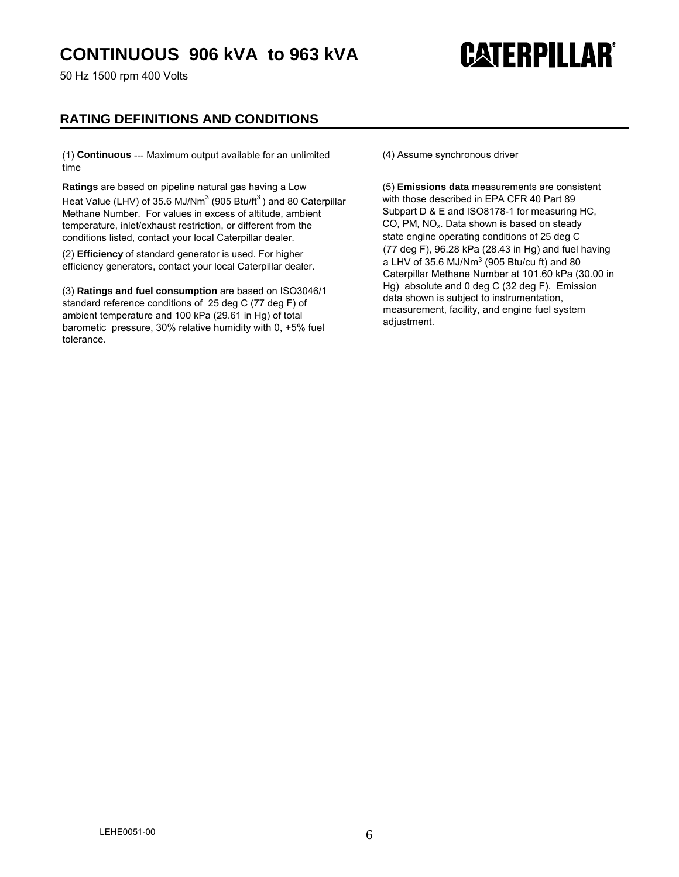50 Hz 1500 rpm 400 Volts

# **CATERPILLAR®**

### **RATING DEFINITIONS AND CONDITIONS**

(1) **Continuous** --- Maximum output available for an unlimited time

**Ratings** are based on pipeline natural gas having a Low Heat Value (LHV) of 35.6 MJ/Nm<sup>3</sup> (905 Btu/ft<sup>3</sup>) and 80 Caterpillar Methane Number. For values in excess of altitude, ambient temperature, inlet/exhaust restriction, or different from the conditions listed, contact your local Caterpillar dealer.

(2) **Efficiency** of standard generator is used. For higher efficiency generators, contact your local Caterpillar dealer.

(3) **Ratings and fuel consumption** are based on ISO3046/1 standard reference conditions of 25 deg C (77 deg F) of ambient temperature and 100 kPa (29.61 in Hg) of total barometic pressure, 30% relative humidity with 0, +5% fuel tolerance.

(4) Assume synchronous driver

(5) **Emissions data** measurements are consistent with those described in EPA CFR 40 Part 89 Subpart D & E and ISO8178-1 for measuring HC, CO, PM,  $NO<sub>x</sub>$ . Data shown is based on steady state engine operating conditions of 25 deg C (77 deg F), 96.28 kPa (28.43 in Hg) and fuel having a LHV of 35.6 MJ/Nm<sup>3</sup> (905 Btu/cu ft) and 80 Caterpillar Methane Number at 101.60 kPa (30.00 in Hg) absolute and 0 deg C (32 deg F). Emission data shown is subject to instrumentation, measurement, facility, and engine fuel system adjustment.